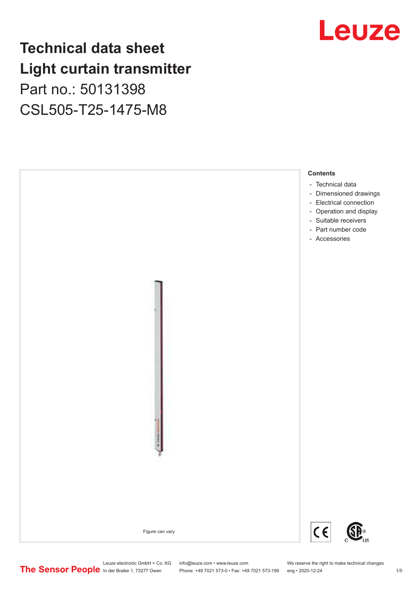### **Technical data sheet Light curtain transmitter** Part no.: 50131398

CSL505-T25-1475-M8



## Leuze

Leuze electronic GmbH + Co. KG info@leuze.com • www.leuze.com We reserve the right to make technical changes<br>
The Sensor People in der Braike 1, 73277 Owen Phone: +49 7021 573-0 • Fax: +49 7021 573-199 eng • 2020-12-24

Phone: +49 7021 573-0 • Fax: +49 7021 573-199 eng • 2020-12-24 1 2020-12-24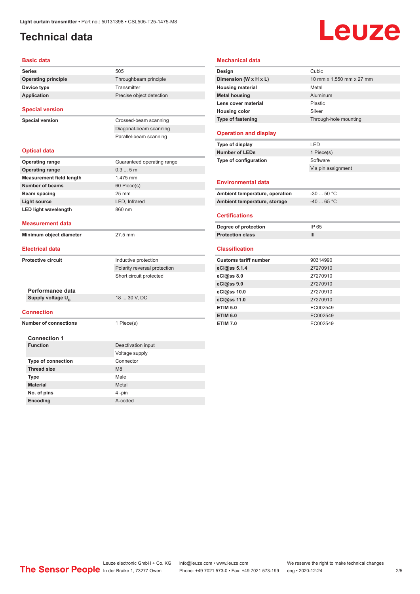#### <span id="page-1-0"></span>**Technical data**

# **Leuze**

| <b>Basic data</b>               |                                                         |  |  |
|---------------------------------|---------------------------------------------------------|--|--|
| Series                          | 505                                                     |  |  |
| <b>Operating principle</b>      | Throughbeam principle                                   |  |  |
| Device type                     | Transmitter                                             |  |  |
| <b>Application</b>              | Precise object detection                                |  |  |
| <b>Special version</b>          |                                                         |  |  |
| <b>Special version</b>          | Crossed-beam scanning                                   |  |  |
|                                 | Diagonal-beam scanning                                  |  |  |
|                                 | Parallel-beam scanning                                  |  |  |
| <b>Optical data</b>             |                                                         |  |  |
| <b>Operating range</b>          | Guaranteed operating range                              |  |  |
| <b>Operating range</b>          | 0.35m                                                   |  |  |
| <b>Measurement field length</b> | 1,475 mm                                                |  |  |
| <b>Number of beams</b>          | 60 Piece(s)                                             |  |  |
| Beam spacing                    | $25 \text{ mm}$                                         |  |  |
| <b>Light source</b>             | LED, Infrared                                           |  |  |
| <b>LED light wavelength</b>     | 860 nm                                                  |  |  |
| Measurement data                |                                                         |  |  |
|                                 |                                                         |  |  |
| Minimum object diameter         | 27.5 mm                                                 |  |  |
| <b>Electrical data</b>          |                                                         |  |  |
| <b>Protective circuit</b>       |                                                         |  |  |
|                                 | Inductive protection                                    |  |  |
|                                 | Polarity reversal protection<br>Short circuit protected |  |  |
|                                 |                                                         |  |  |
| Performance data                |                                                         |  |  |
| Supply voltage U <sub>B</sub>   | 18  30 V, DC                                            |  |  |
| Connection                      |                                                         |  |  |
| <b>Number of connections</b>    | 1 Piece(s)                                              |  |  |
| <b>Connection 1</b>             |                                                         |  |  |
| <b>Function</b>                 | Deactivation input                                      |  |  |
|                                 | Voltage supply                                          |  |  |
| <b>Type of connection</b>       | Connector                                               |  |  |
| <b>Thread size</b>              | M <sub>8</sub>                                          |  |  |
| <b>Type</b>                     | Male                                                    |  |  |
| <b>Material</b>                 | Metal                                                   |  |  |
| No. of pins                     | 4-pin                                                   |  |  |

|                                                                                                                                                                                                                                                                                                  | Cubic                    |
|--------------------------------------------------------------------------------------------------------------------------------------------------------------------------------------------------------------------------------------------------------------------------------------------------|--------------------------|
| Design                                                                                                                                                                                                                                                                                           |                          |
| Dimension (W x H x L)                                                                                                                                                                                                                                                                            | 10 mm x 1,550 mm x 27 mm |
| <b>Housing material</b>                                                                                                                                                                                                                                                                          | Metal                    |
| <b>Metal housing</b>                                                                                                                                                                                                                                                                             | Aluminum                 |
| Lens cover material                                                                                                                                                                                                                                                                              | Plastic                  |
| <b>Housing color</b>                                                                                                                                                                                                                                                                             | Silver                   |
| Type of fastening                                                                                                                                                                                                                                                                                | Through-hole mounting    |
| <b>Operation and display</b>                                                                                                                                                                                                                                                                     |                          |
| Type of display                                                                                                                                                                                                                                                                                  | LED                      |
| <b>Number of LEDs</b>                                                                                                                                                                                                                                                                            | 1 Piece(s)               |
| Type of configuration                                                                                                                                                                                                                                                                            | Software                 |
|                                                                                                                                                                                                                                                                                                  | Via pin assignment       |
| <b>Environmental data</b>                                                                                                                                                                                                                                                                        |                          |
|                                                                                                                                                                                                                                                                                                  |                          |
|                                                                                                                                                                                                                                                                                                  | $-3050 °C$               |
|                                                                                                                                                                                                                                                                                                  | $-40$ 65 °C              |
|                                                                                                                                                                                                                                                                                                  |                          |
|                                                                                                                                                                                                                                                                                                  | IP 65                    |
|                                                                                                                                                                                                                                                                                                  | III                      |
|                                                                                                                                                                                                                                                                                                  |                          |
|                                                                                                                                                                                                                                                                                                  | 90314990                 |
|                                                                                                                                                                                                                                                                                                  | 27270910                 |
|                                                                                                                                                                                                                                                                                                  | 27270910                 |
|                                                                                                                                                                                                                                                                                                  | 27270910                 |
|                                                                                                                                                                                                                                                                                                  | 27270910                 |
|                                                                                                                                                                                                                                                                                                  | 27270910                 |
| Ambient temperature, operation<br>Ambient temperature, storage<br><b>Certifications</b><br>Degree of protection<br><b>Protection class</b><br><b>Classification</b><br><b>Customs tariff number</b><br>eCl@ss 5.1.4<br>eCl@ss 8.0<br>eCl@ss 9.0<br>eCl@ss 10.0<br>eCl@ss 11.0<br><b>ETIM 5.0</b> | EC002549                 |
| <b>ETIM 6.0</b>                                                                                                                                                                                                                                                                                  | EC002549                 |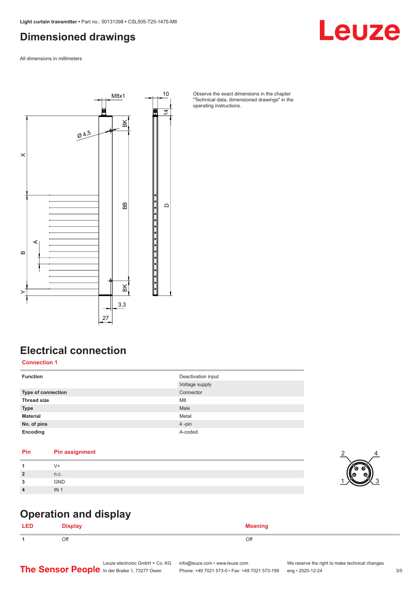#### <span id="page-2-0"></span>**Dimensioned drawings**

All dimensions in millimeters



Observe the exact dimensions in the chapter "Technical data, dimensioned drawings" in the operating instructions.

#### **Electrical connection**

**Connection 1**

| <b>Function</b>           | Deactivation input<br>Voltage supply |
|---------------------------|--------------------------------------|
| <b>Type of connection</b> | Connector                            |
| <b>Thread size</b>        | M <sub>8</sub>                       |
| <b>Type</b>               | Male                                 |
| <b>Material</b>           | Metal                                |
| No. of pins               | 4-pin                                |
| Encoding                  | A-coded                              |

#### **Pin Pin assignment**

| и              |            |
|----------------|------------|
| $\overline{2}$ | n.c.       |
| ໍາ<br>w        | <b>GND</b> |
| $\overline{4}$ | IN         |

#### **Operation and display**

| LED | <b>Display</b> | <b>Meaning</b> |
|-----|----------------|----------------|
|     | Off            | Off            |



## Leuze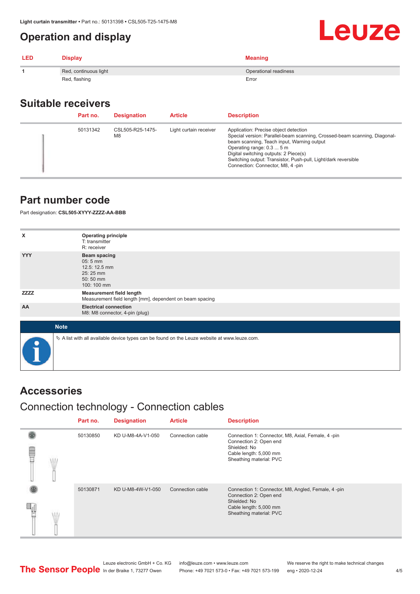#### <span id="page-3-0"></span>**Operation and display**

| <b>LED</b> | <b>Display</b>        | <b>Meaning</b>        |
|------------|-----------------------|-----------------------|
|            | Red, continuous light | Operational readiness |
|            | Red, flashing         | Error                 |

#### **Suitable receivers**

| Part no. | <b>Designation</b>                 | <b>Article</b>         | <b>Description</b>                                                                                                                                                                                                                                                                                                                           |
|----------|------------------------------------|------------------------|----------------------------------------------------------------------------------------------------------------------------------------------------------------------------------------------------------------------------------------------------------------------------------------------------------------------------------------------|
| 50131342 | CSL505-R25-1475-<br>M <sub>8</sub> | Light curtain receiver | Application: Precise object detection<br>Special version: Parallel-beam scanning, Crossed-beam scanning, Diagonal-<br>beam scanning, Teach input, Warning output<br>Operating range: 0.3  5 m<br>Digital switching outputs: 2 Piece(s)<br>Switching output: Transistor, Push-pull, Light/dark reversible<br>Connection: Connector, M8, 4-pin |

#### **Part number code**

Part designation: **CSL505-XYYY-ZZZZ-AA-BBB**

| x           | <b>Operating principle</b><br>T: transmitter                                                    |
|-------------|-------------------------------------------------------------------------------------------------|
|             | R: receiver                                                                                     |
| <b>YYY</b>  | <b>Beam spacing</b><br>05:5 mm<br>12.5: 12.5 mm<br>25:25 mm<br>50:50 mm<br>100: 100 mm          |
| <b>ZZZZ</b> | <b>Measurement field length</b><br>Measurement field length [mm], dependent on beam spacing     |
| AA          | <b>Electrical connection</b><br>M8: M8 connector, 4-pin (plug)                                  |
|             |                                                                                                 |
| <b>Note</b> |                                                                                                 |
| $\bullet$   | $\&$ A list with all available device types can be found on the Leuze website at www.leuze.com. |

#### **Accessories**

#### Connection technology - Connection cables

|   | Part no. | <b>Designation</b> | <b>Article</b>   | <b>Description</b>                                                                                                                                |
|---|----------|--------------------|------------------|---------------------------------------------------------------------------------------------------------------------------------------------------|
| ŧ | 50130850 | KD U-M8-4A-V1-050  | Connection cable | Connection 1: Connector, M8, Axial, Female, 4 -pin<br>Connection 2: Open end<br>Shielded: No<br>Cable length: 5,000 mm<br>Sheathing material: PVC |
|   | 50130871 | KD U-M8-4W-V1-050  | Connection cable | Connection 1: Connector, M8, Angled, Female, 4-pin<br>Connection 2: Open end<br>Shielded: No<br>Cable length: 5,000 mm<br>Sheathing material: PVC |

Leuze